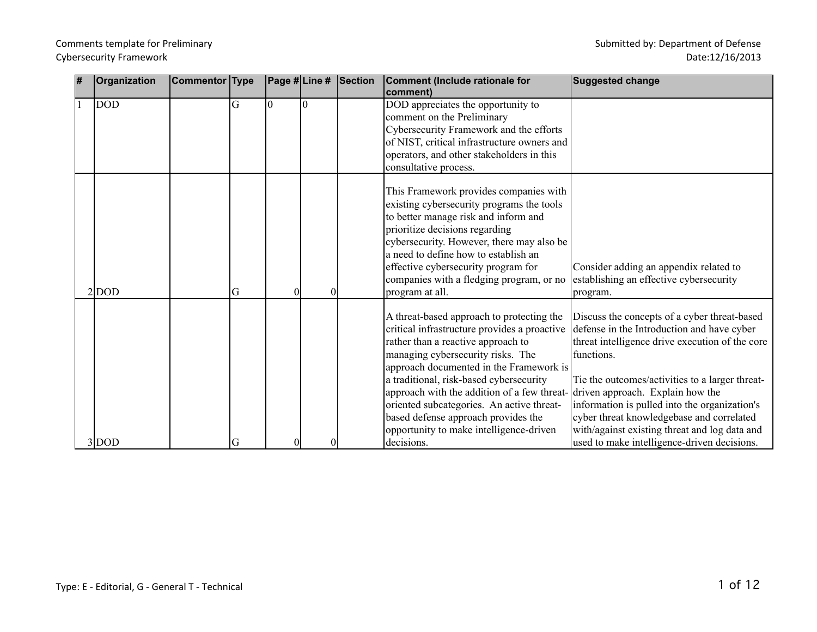| 1# | Organization | <b>Commentor Type</b> |   | Page #Line # | Section | Comment (Include rationale for<br>comment)                                                                                                                                                                                                                                                                                                                                                                                                                                             | <b>Suggested change</b>                                                                                                                                                                                                                                                                                                                                                                                      |
|----|--------------|-----------------------|---|--------------|---------|----------------------------------------------------------------------------------------------------------------------------------------------------------------------------------------------------------------------------------------------------------------------------------------------------------------------------------------------------------------------------------------------------------------------------------------------------------------------------------------|--------------------------------------------------------------------------------------------------------------------------------------------------------------------------------------------------------------------------------------------------------------------------------------------------------------------------------------------------------------------------------------------------------------|
|    | <b>DOD</b>   |                       | Ġ | $\Omega$     |         | DOD appreciates the opportunity to<br>comment on the Preliminary<br>Cybersecurity Framework and the efforts<br>of NIST, critical infrastructure owners and<br>operators, and other stakeholders in this<br>consultative process.                                                                                                                                                                                                                                                       |                                                                                                                                                                                                                                                                                                                                                                                                              |
|    | $2 $ DOD     |                       | G |              |         | This Framework provides companies with<br>existing cybersecurity programs the tools<br>to better manage risk and inform and<br>prioritize decisions regarding<br>cybersecurity. However, there may also be<br>a need to define how to establish an<br>effective cybersecurity program for<br>companies with a fledging program, or no<br>program at all.                                                                                                                               | Consider adding an appendix related to<br>establishing an effective cybersecurity<br>program.                                                                                                                                                                                                                                                                                                                |
|    | $3 $ DOD     |                       | G |              |         | A threat-based approach to protecting the<br>critical infrastructure provides a proactive<br>rather than a reactive approach to<br>managing cybersecurity risks. The<br>approach documented in the Framework is<br>a traditional, risk-based cybersecurity<br>approach with the addition of a few threat-driven approach. Explain how the<br>oriented subcategories. An active threat-<br>based defense approach provides the<br>opportunity to make intelligence-driven<br>decisions. | Discuss the concepts of a cyber threat-based<br>defense in the Introduction and have cyber<br>threat intelligence drive execution of the core<br>functions.<br>Tie the outcomes/activities to a larger threat-<br>information is pulled into the organization's<br>cyber threat knowledgebase and correlated<br>with/against existing threat and log data and<br>used to make intelligence-driven decisions. |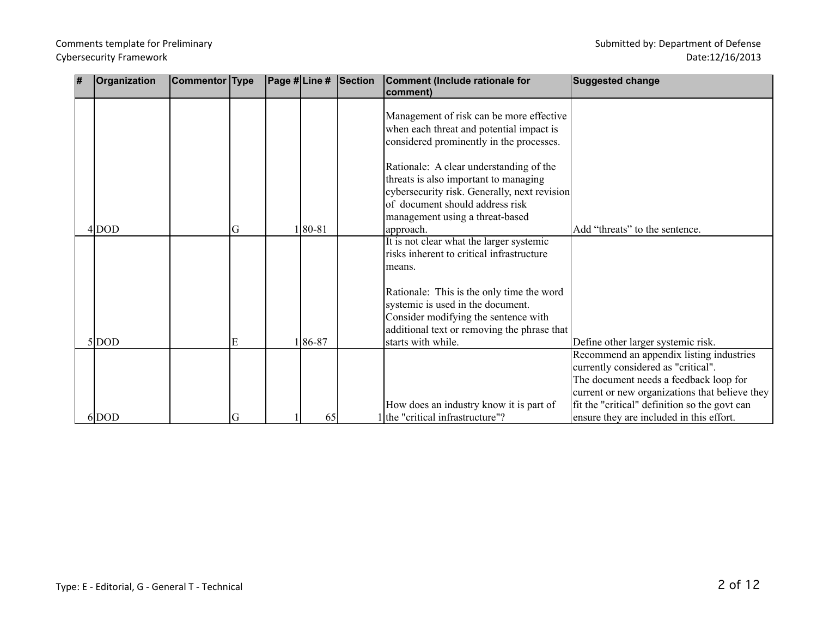#### Date:12/16/2013

| # | Organization | <b>Commentor Type</b> |   | Page # Line # |        | <b>Section</b> | <b>Comment (Include rationale for</b><br>comment)                                                                                                                     | <b>Suggested change</b>                                                                                                         |
|---|--------------|-----------------------|---|---------------|--------|----------------|-----------------------------------------------------------------------------------------------------------------------------------------------------------------------|---------------------------------------------------------------------------------------------------------------------------------|
|   |              |                       |   |               |        |                | Management of risk can be more effective<br>when each threat and potential impact is<br>considered prominently in the processes.                                      |                                                                                                                                 |
|   |              |                       |   |               |        |                | Rationale: A clear understanding of the<br>threats is also important to managing<br>cybersecurity risk. Generally, next revision<br>of document should address risk   |                                                                                                                                 |
|   | $4 $ DOD     |                       | G |               | 180-81 |                | management using a threat-based<br>approach.                                                                                                                          | Add "threats" to the sentence.                                                                                                  |
|   |              |                       |   |               |        |                | It is not clear what the larger systemic<br>risks inherent to critical infrastructure<br>means.                                                                       |                                                                                                                                 |
|   |              |                       |   |               |        |                | Rationale: This is the only time the word<br>systemic is used in the document.<br>Consider modifying the sentence with<br>additional text or removing the phrase that |                                                                                                                                 |
|   | $5 $ DOD     |                       |   |               | 186-87 |                | starts with while.                                                                                                                                                    | Define other larger systemic risk.<br>Recommend an appendix listing industries                                                  |
|   |              |                       |   |               |        |                |                                                                                                                                                                       | currently considered as "critical".<br>The document needs a feedback loop for<br>current or new organizations that believe they |
|   | 6 DOD        |                       | G |               | 65     |                | How does an industry know it is part of<br>l the "critical infrastructure"?                                                                                           | fit the "critical" definition so the govt can<br>ensure they are included in this effort.                                       |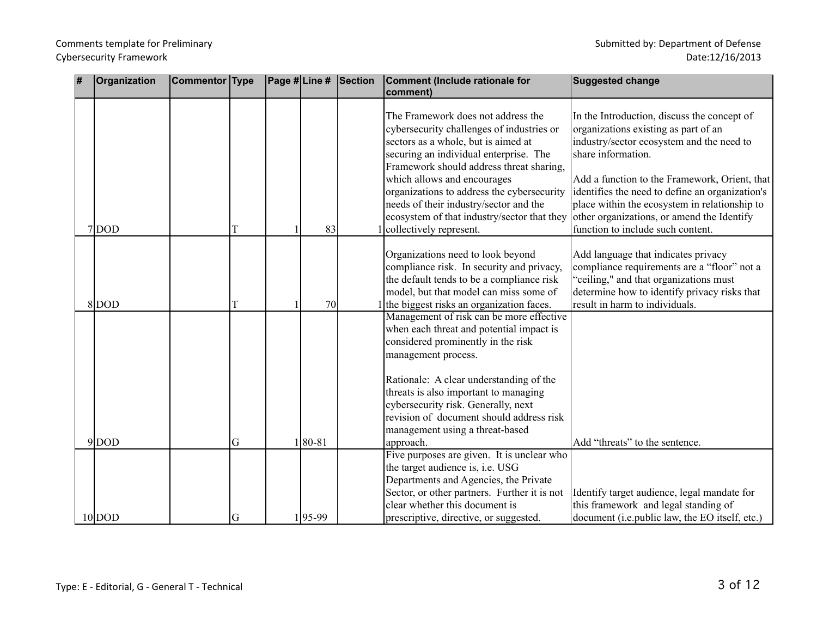| 1# | Organization          | <b>Commentor Type</b> |        |                    | Page #Line # Section | Comment (Include rationale for<br>comment)                                                                                                                                                                                                                                                                                                                                                                    | <b>Suggested change</b>                                                                                                                                                                                                                                                                                                                                                                        |
|----|-----------------------|-----------------------|--------|--------------------|----------------------|---------------------------------------------------------------------------------------------------------------------------------------------------------------------------------------------------------------------------------------------------------------------------------------------------------------------------------------------------------------------------------------------------------------|------------------------------------------------------------------------------------------------------------------------------------------------------------------------------------------------------------------------------------------------------------------------------------------------------------------------------------------------------------------------------------------------|
|    | $7$ DOD               |                       |        | 83                 |                      | The Framework does not address the<br>cybersecurity challenges of industries or<br>sectors as a whole, but is aimed at<br>securing an individual enterprise. The<br>Framework should address threat sharing,<br>which allows and encourages<br>organizations to address the cybersecurity<br>needs of their industry/sector and the<br>ecosystem of that industry/sector that they<br>collectively represent. | In the Introduction, discuss the concept of<br>organizations existing as part of an<br>industry/sector ecosystem and the need to<br>share information.<br>Add a function to the Framework, Orient, that<br>identifies the need to define an organization's<br>place within the ecosystem in relationship to<br>other organizations, or amend the Identify<br>function to include such content. |
|    |                       |                       |        |                    |                      |                                                                                                                                                                                                                                                                                                                                                                                                               |                                                                                                                                                                                                                                                                                                                                                                                                |
|    | $8 $ DOD              |                       |        | 70                 |                      | Organizations need to look beyond<br>compliance risk. In security and privacy,<br>the default tends to be a compliance risk<br>model, but that model can miss some of<br>the biggest risks an organization faces.                                                                                                                                                                                             | Add language that indicates privacy<br>compliance requirements are a "floor" not a<br>'ceiling," and that organizations must<br>determine how to identify privacy risks that<br>result in harm to individuals.                                                                                                                                                                                 |
|    |                       |                       |        |                    |                      | Management of risk can be more effective<br>when each threat and potential impact is<br>considered prominently in the risk<br>management process.<br>Rationale: A clear understanding of the<br>threats is also important to managing<br>cybersecurity risk. Generally, next<br>revision of document should address risk<br>management using a threat-based                                                   |                                                                                                                                                                                                                                                                                                                                                                                                |
|    | $9 $ DOD<br>$10 $ DOD |                       | G<br>G | $ 80-81$<br>195-99 |                      | approach.<br>Five purposes are given. It is unclear who<br>the target audience is, i.e. USG<br>Departments and Agencies, the Private<br>Sector, or other partners. Further it is not<br>clear whether this document is<br>prescriptive, directive, or suggested.                                                                                                                                              | Add "threats" to the sentence.<br>Identify target audience, legal mandate for<br>this framework and legal standing of<br>document (i.e.public law, the EO itself, etc.)                                                                                                                                                                                                                        |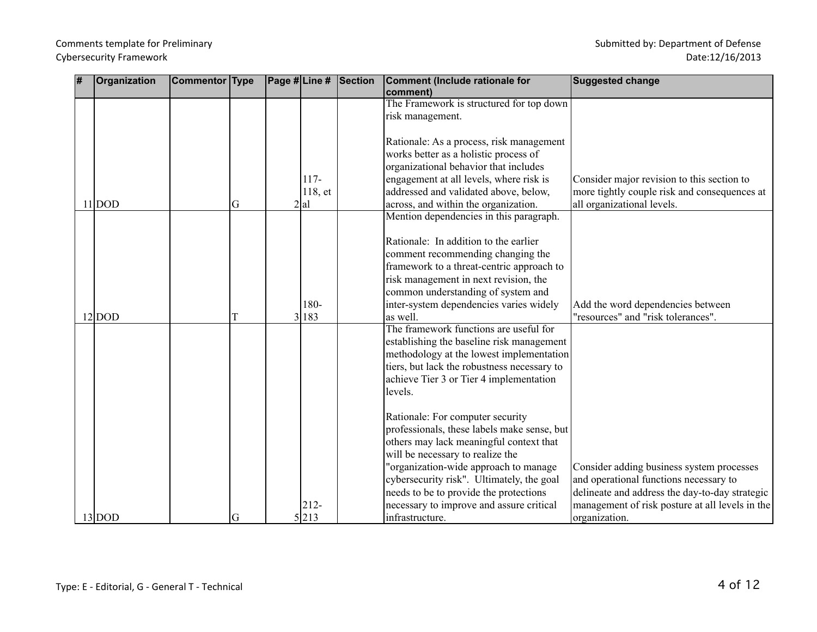| # | Organization | Commentor Type |   |         | Page #Line # Section | Comment (Include rationale for<br>comment)         | <b>Suggested change</b>                         |
|---|--------------|----------------|---|---------|----------------------|----------------------------------------------------|-------------------------------------------------|
|   |              |                |   |         |                      | The Framework is structured for top down           |                                                 |
|   |              |                |   |         |                      | risk management.                                   |                                                 |
|   |              |                |   |         |                      | Rationale: As a process, risk management           |                                                 |
|   |              |                |   |         |                      | works better as a holistic process of              |                                                 |
|   |              |                |   |         |                      | organizational behavior that includes              |                                                 |
|   |              |                |   | $117-$  |                      | engagement at all levels, where risk is            | Consider major revision to this section to      |
|   |              |                |   | 118, et |                      | addressed and validated above, below,              | more tightly couple risk and consequences at    |
|   | $11 $ DOD    |                | G | 2 al    |                      | across, and within the organization.               | all organizational levels.                      |
|   |              |                |   |         |                      | Mention dependencies in this paragraph.            |                                                 |
|   |              |                |   |         |                      | Rationale: In addition to the earlier              |                                                 |
|   |              |                |   |         |                      | comment recommending changing the                  |                                                 |
|   |              |                |   |         |                      | framework to a threat-centric approach to          |                                                 |
|   |              |                |   |         |                      | risk management in next revision, the              |                                                 |
|   |              |                |   |         |                      | common understanding of system and                 |                                                 |
|   |              |                |   | 180-    |                      | inter-system dependencies varies widely            | Add the word dependencies between               |
|   | $12 $ DOD    |                |   | 3 183   |                      | as well.                                           | "resources" and "risk tolerances".              |
|   |              |                |   |         |                      | The framework functions are useful for             |                                                 |
|   |              |                |   |         |                      | establishing the baseline risk management          |                                                 |
|   |              |                |   |         |                      | methodology at the lowest implementation           |                                                 |
|   |              |                |   |         |                      | tiers, but lack the robustness necessary to        |                                                 |
|   |              |                |   |         |                      | achieve Tier 3 or Tier 4 implementation<br>levels. |                                                 |
|   |              |                |   |         |                      |                                                    |                                                 |
|   |              |                |   |         |                      | Rationale: For computer security                   |                                                 |
|   |              |                |   |         |                      | professionals, these labels make sense, but        |                                                 |
|   |              |                |   |         |                      | others may lack meaningful context that            |                                                 |
|   |              |                |   |         |                      | will be necessary to realize the                   |                                                 |
|   |              |                |   |         |                      | "organization-wide approach to manage              | Consider adding business system processes       |
|   |              |                |   |         |                      | cybersecurity risk". Ultimately, the goal          | and operational functions necessary to          |
|   |              |                |   |         |                      | needs to be to provide the protections             | delineate and address the day-to-day strategic  |
|   |              |                |   | $212 -$ |                      | necessary to improve and assure critical           | management of risk posture at all levels in the |
|   | $13 $ DOD    |                | G | 5213    |                      | infrastructure.                                    | organization.                                   |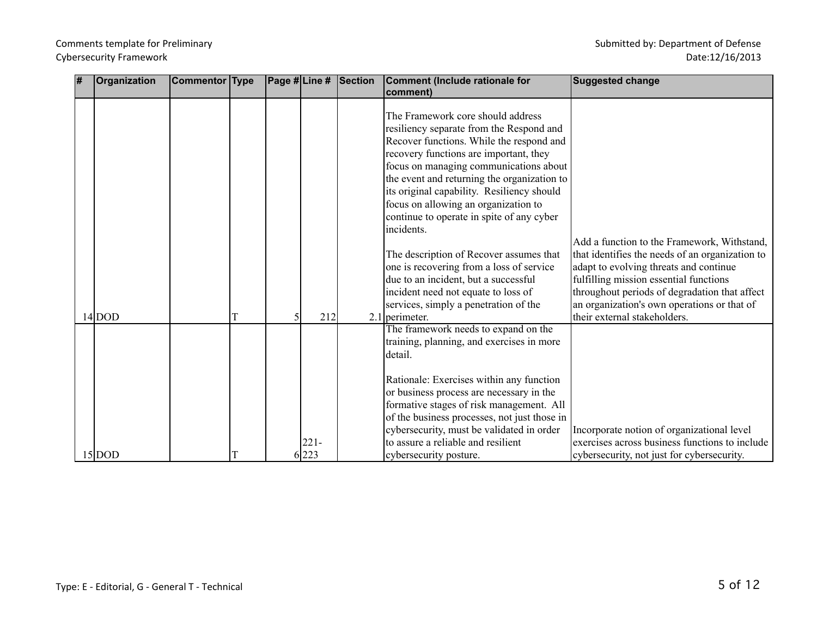| 7 | Organization | Commentor Type |  |                  | Page # $\vert$ Line # $\vert$ Section | Comment (Include rationale for                                                                                                                                                                                                                                                                                                                                                                                                                           | <b>Suggested change</b>                                                                        |
|---|--------------|----------------|--|------------------|---------------------------------------|----------------------------------------------------------------------------------------------------------------------------------------------------------------------------------------------------------------------------------------------------------------------------------------------------------------------------------------------------------------------------------------------------------------------------------------------------------|------------------------------------------------------------------------------------------------|
|   |              |                |  |                  |                                       | comment)                                                                                                                                                                                                                                                                                                                                                                                                                                                 |                                                                                                |
|   |              |                |  |                  |                                       | The Framework core should address<br>resiliency separate from the Respond and<br>Recover functions. While the respond and<br>recovery functions are important, they<br>focus on managing communications about<br>the event and returning the organization to<br>its original capability. Resiliency should<br>focus on allowing an organization to<br>continue to operate in spite of any cyber<br>incidents.<br>The description of Recover assumes that | Add a function to the Framework, Withstand,<br>that identifies the needs of an organization to |
|   |              |                |  |                  |                                       | one is recovering from a loss of service                                                                                                                                                                                                                                                                                                                                                                                                                 | adapt to evolving threats and continue                                                         |
|   |              |                |  |                  |                                       | due to an incident, but a successful                                                                                                                                                                                                                                                                                                                                                                                                                     | fulfilling mission essential functions                                                         |
|   |              |                |  |                  |                                       | incident need not equate to loss of<br>services, simply a penetration of the                                                                                                                                                                                                                                                                                                                                                                             | throughout periods of degradation that affect<br>an organization's own operations or that of   |
|   | $14 $ DOD    |                |  | 212              |                                       | 2.1 perimeter.                                                                                                                                                                                                                                                                                                                                                                                                                                           | their external stakeholders.                                                                   |
|   |              |                |  |                  |                                       | The framework needs to expand on the<br>training, planning, and exercises in more<br>detail.                                                                                                                                                                                                                                                                                                                                                             |                                                                                                |
|   |              |                |  |                  |                                       | Rationale: Exercises within any function<br>or business process are necessary in the<br>formative stages of risk management. All<br>of the business processes, not just those in<br>cybersecurity, must be validated in order<br>to assure a reliable and resilient                                                                                                                                                                                      | Incorporate notion of organizational level<br>exercises across business functions to include   |
|   | $15 $ DOD    |                |  | $221 -$<br>6 223 |                                       | cybersecurity posture.                                                                                                                                                                                                                                                                                                                                                                                                                                   | cybersecurity, not just for cybersecurity.                                                     |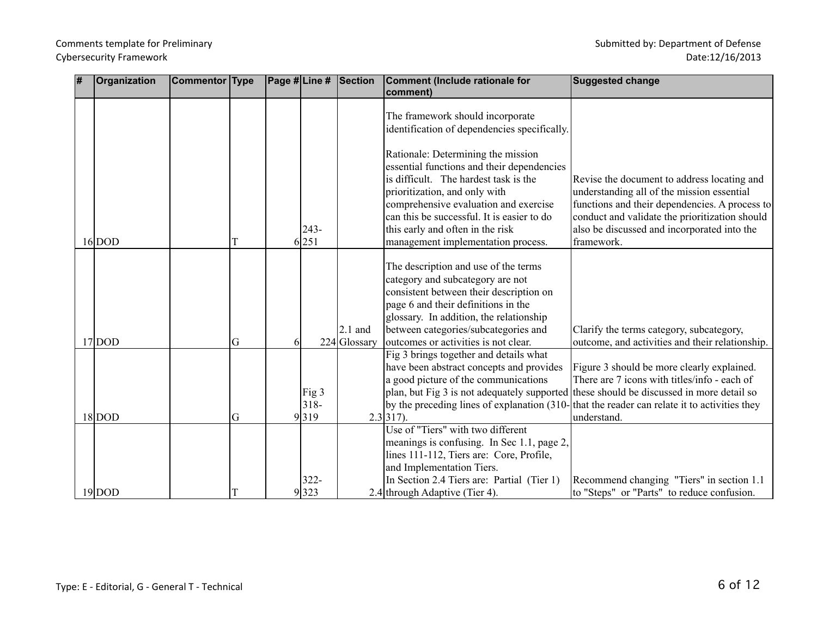| # | Organization | Commentor Type |   |   |                          | Page #Line # Section      | Comment (Include rationale for<br>comment)                                                                                                                                                                                                                                                                                  | <b>Suggested change</b>                                                                                                                                                                                                                                                                                 |
|---|--------------|----------------|---|---|--------------------------|---------------------------|-----------------------------------------------------------------------------------------------------------------------------------------------------------------------------------------------------------------------------------------------------------------------------------------------------------------------------|---------------------------------------------------------------------------------------------------------------------------------------------------------------------------------------------------------------------------------------------------------------------------------------------------------|
|   |              |                |   |   |                          |                           | The framework should incorporate<br>identification of dependencies specifically.                                                                                                                                                                                                                                            |                                                                                                                                                                                                                                                                                                         |
|   | $16 $ DOD    |                |   |   | $243-$<br>6 251          |                           | Rationale: Determining the mission<br>essential functions and their dependencies<br>is difficult. The hardest task is the<br>prioritization, and only with<br>comprehensive evaluation and exercise<br>can this be successful. It is easier to do<br>this early and often in the risk<br>management implementation process. | Revise the document to address locating and<br>understanding all of the mission essential<br>functions and their dependencies. A process to<br>conduct and validate the prioritization should<br>also be discussed and incorporated into the<br>framework.                                              |
|   | $17 $ DOD    |                | G | 6 |                          | $2.1$ and<br>224 Glossary | The description and use of the terms<br>category and subcategory are not<br>consistent between their description on<br>page 6 and their definitions in the<br>glossary. In addition, the relationship<br>between categories/subcategories and<br>outcomes or activities is not clear.                                       | Clarify the terms category, subcategory,<br>outcome, and activities and their relationship.                                                                                                                                                                                                             |
|   | $18$ DOD     |                | G |   | Fig 3<br>$318 -$<br>9319 |                           | Fig 3 brings together and details what<br>have been abstract concepts and provides<br>a good picture of the communications<br>$2.3 317$ ).                                                                                                                                                                                  | Figure 3 should be more clearly explained.<br>There are 7 icons with titles/info - each of<br>plan, but Fig 3 is not adequately supported these should be discussed in more detail so<br>by the preceding lines of explanation (310-<br>that the reader can relate it to activities they<br>understand. |
|   | $19 $ DOD    |                |   |   | $322 -$<br>9323          |                           | Use of "Tiers" with two different<br>meanings is confusing. In Sec 1.1, page 2,<br>lines 111-112, Tiers are: Core, Profile,<br>and Implementation Tiers.<br>In Section 2.4 Tiers are: Partial (Tier 1)<br>2.4 through Adaptive (Tier 4).                                                                                    | Recommend changing "Tiers" in section 1.1<br>to "Steps" or "Parts" to reduce confusion.                                                                                                                                                                                                                 |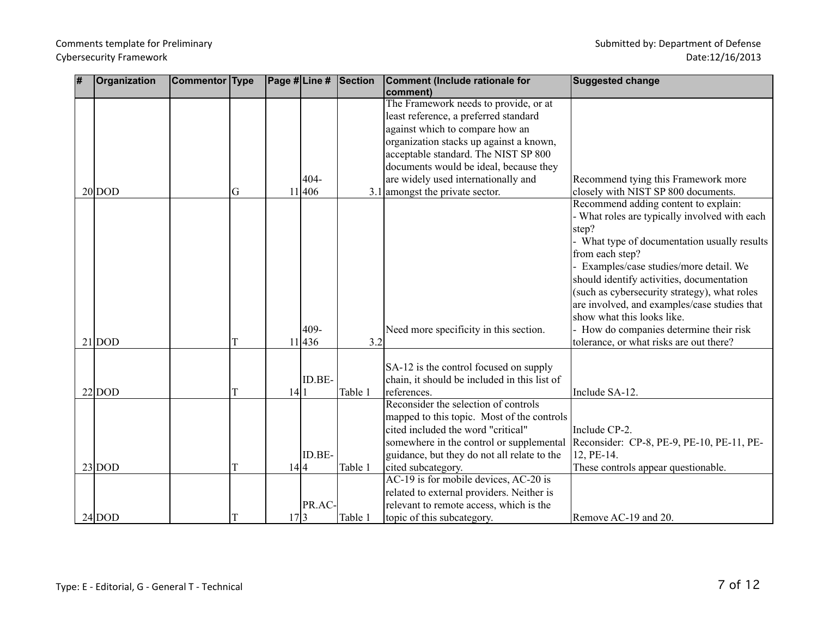| 1# | Organization | <b>Commentor Type</b> |   |      |        | Page #Line # Section | Comment (Include rationale for               | <b>Suggested change</b>                                                    |
|----|--------------|-----------------------|---|------|--------|----------------------|----------------------------------------------|----------------------------------------------------------------------------|
|    |              |                       |   |      |        |                      | comment)                                     |                                                                            |
|    |              |                       |   |      |        |                      | The Framework needs to provide, or at        |                                                                            |
|    |              |                       |   |      |        |                      | least reference, a preferred standard        |                                                                            |
|    |              |                       |   |      |        |                      | against which to compare how an              |                                                                            |
|    |              |                       |   |      |        |                      | organization stacks up against a known,      |                                                                            |
|    |              |                       |   |      |        |                      | acceptable standard. The NIST SP 800         |                                                                            |
|    |              |                       |   |      |        |                      | documents would be ideal, because they       |                                                                            |
|    |              |                       |   |      | 404-   |                      | are widely used internationally and          | Recommend tying this Framework more                                        |
|    | $20 $ DOD    |                       | G |      | 11 406 |                      | $3.1$ amongst the private sector.            | closely with NIST SP 800 documents.                                        |
|    |              |                       |   |      |        |                      |                                              | Recommend adding content to explain:                                       |
|    |              |                       |   |      |        |                      |                                              | - What roles are typically involved with each                              |
|    |              |                       |   |      |        |                      |                                              | step?                                                                      |
|    |              |                       |   |      |        |                      |                                              | - What type of documentation usually results                               |
|    |              |                       |   |      |        |                      |                                              | from each step?                                                            |
|    |              |                       |   |      |        |                      |                                              | Examples/case studies/more detail. We                                      |
|    |              |                       |   |      |        |                      |                                              | should identify activities, documentation                                  |
|    |              |                       |   |      |        |                      |                                              | (such as cybersecurity strategy), what roles                               |
|    |              |                       |   |      |        |                      |                                              | are involved, and examples/case studies that<br>show what this looks like. |
|    |              |                       |   |      | 409-   |                      |                                              |                                                                            |
|    | $21 $ DOD    |                       |   |      | 11 436 | 3.2                  | Need more specificity in this section.       | - How do companies determine their risk                                    |
|    |              |                       |   |      |        |                      |                                              | tolerance, or what risks are out there?                                    |
|    |              |                       |   |      |        |                      | SA-12 is the control focused on supply       |                                                                            |
|    |              |                       |   |      | ID.BE- |                      | chain, it should be included in this list of |                                                                            |
|    | $22 $ DOD    |                       |   | 14 1 |        | Table 1              | references.                                  | Include SA-12.                                                             |
|    |              |                       |   |      |        |                      | Reconsider the selection of controls         |                                                                            |
|    |              |                       |   |      |        |                      | mapped to this topic. Most of the controls   |                                                                            |
|    |              |                       |   |      |        |                      | cited included the word "critical"           | Include CP-2.                                                              |
|    |              |                       |   |      |        |                      | somewhere in the control or supplemental     | Reconsider: CP-8, PE-9, PE-10, PE-11, PE-                                  |
|    |              |                       |   |      | ID.BE- |                      | guidance, but they do not all relate to the  | 12, PE-14.                                                                 |
|    | $23 $ DOD    |                       | T | 14 4 |        | Table 1              | cited subcategory.                           | These controls appear questionable.                                        |
|    |              |                       |   |      |        |                      | AC-19 is for mobile devices, AC-20 is        |                                                                            |
|    |              |                       |   |      |        |                      | related to external providers. Neither is    |                                                                            |
|    |              |                       |   |      | PR.AC- |                      | relevant to remote access, which is the      |                                                                            |
|    | $24 $ DOD    |                       | T | 17 3 |        | Table 1              | topic of this subcategory.                   | Remove AC-19 and 20.                                                       |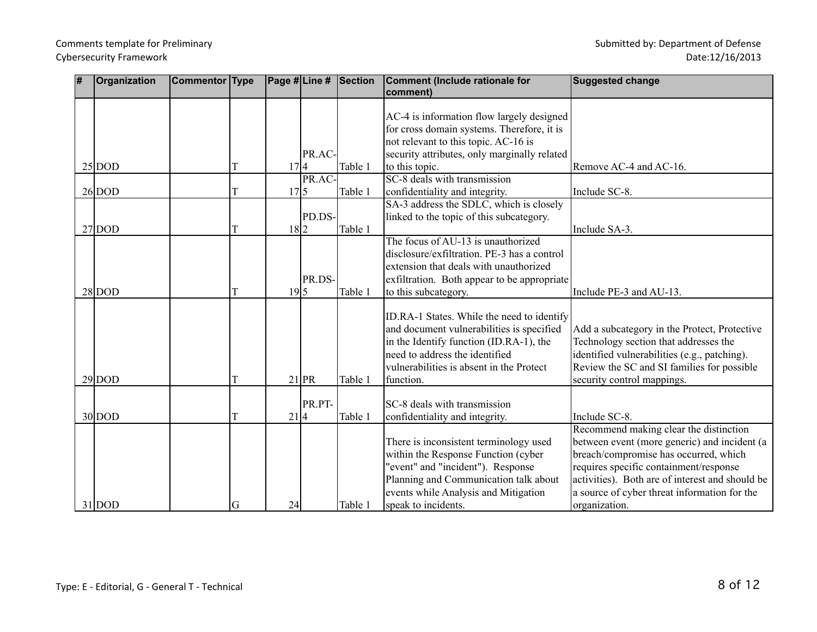| # | Organization | Commentor Type |    |                 |         | Page #Line # Section | Comment (Include rationale for<br>comment)                                                                                                                                                                                    | <b>Suggested change</b>                                                                                                                                                                                                                                                                       |
|---|--------------|----------------|----|-----------------|---------|----------------------|-------------------------------------------------------------------------------------------------------------------------------------------------------------------------------------------------------------------------------|-----------------------------------------------------------------------------------------------------------------------------------------------------------------------------------------------------------------------------------------------------------------------------------------------|
|   |              |                |    |                 | PR.AC-  |                      | AC-4 is information flow largely designed<br>for cross domain systems. Therefore, it is<br>not relevant to this topic. AC-16 is<br>security attributes, only marginally related                                               |                                                                                                                                                                                                                                                                                               |
|   | $25 $ DOD    |                |    | 17 4            |         | Table 1              | to this topic.                                                                                                                                                                                                                | Remove AC-4 and AC-16.                                                                                                                                                                                                                                                                        |
|   |              |                |    |                 | PR.AC-  |                      | SC-8 deals with transmission                                                                                                                                                                                                  |                                                                                                                                                                                                                                                                                               |
|   | $26 $ DOD    |                |    | 17 5            |         | Table 1              | confidentiality and integrity.                                                                                                                                                                                                | Include SC-8.                                                                                                                                                                                                                                                                                 |
|   | $27 $ DOD    |                |    | 18 2            | PD.DS-  | Table 1              | SA-3 address the SDLC, which is closely<br>linked to the topic of this subcategory.                                                                                                                                           | Include SA-3.                                                                                                                                                                                                                                                                                 |
|   | $28 $ DOD    |                | T  | 19 <sub>5</sub> | PR.DS-  | Table 1              | The focus of AU-13 is unauthorized<br>disclosure/exfiltration. PE-3 has a control<br>extension that deals with unauthorized<br>exfiltration. Both appear to be appropriate<br>to this subcategory.                            | Include PE-3 and AU-13.                                                                                                                                                                                                                                                                       |
|   | $29 $ DOD    |                | T  |                 | $21$ PR | Table 1              | ID.RA-1 States. While the need to identify<br>and document vulnerabilities is specified<br>in the Identify function (ID.RA-1), the<br>need to address the identified<br>vulnerabilities is absent in the Protect<br>function. | Add a subcategory in the Protect, Protective<br>Technology section that addresses the<br>identified vulnerabilities (e.g., patching).<br>Review the SC and SI families for possible<br>security control mappings.                                                                             |
|   | $30 $ DOD    |                | T  | 21 4            | PR.PT-  | Table 1              | SC-8 deals with transmission<br>confidentiality and integrity.                                                                                                                                                                | Include SC-8.                                                                                                                                                                                                                                                                                 |
|   | $31 $ DOD    |                | lG | 24              |         | Table 1              | There is inconsistent terminology used<br>within the Response Function (cyber<br>"event" and "incident"). Response<br>Planning and Communication talk about<br>events while Analysis and Mitigation<br>speak to incidents.    | Recommend making clear the distinction<br>between event (more generic) and incident (a<br>breach/compromise has occurred, which<br>requires specific containment/response<br>activities). Both are of interest and should be<br>a source of cyber threat information for the<br>organization. |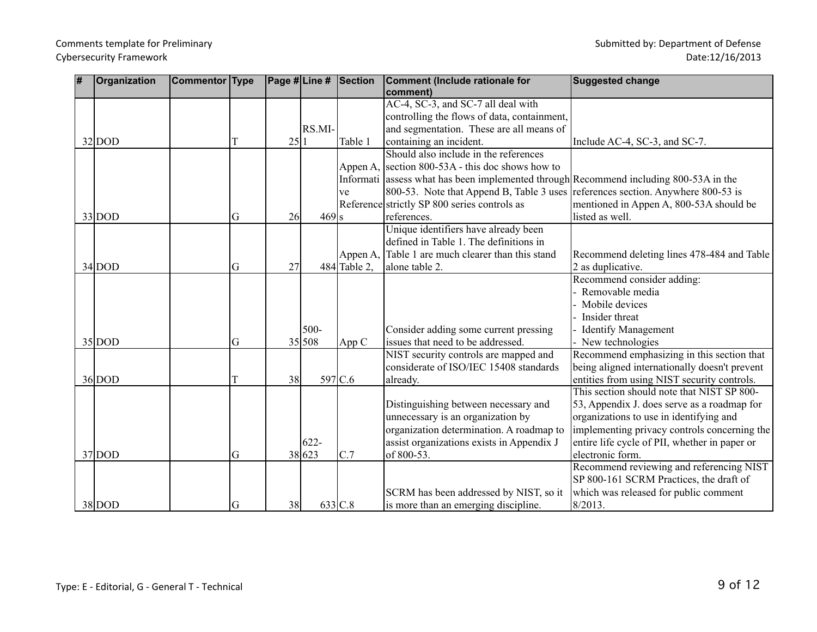| # | Organization | Commentor Type |   |      |         | $ \textsf{Page H} \textsf{Line H} \textsf{Section} $ | Comment (Include rationale for                                                        | <b>Suggested change</b>                       |
|---|--------------|----------------|---|------|---------|------------------------------------------------------|---------------------------------------------------------------------------------------|-----------------------------------------------|
|   |              |                |   |      |         |                                                      | comment)                                                                              |                                               |
|   |              |                |   |      |         |                                                      | AC-4, SC-3, and SC-7 all deal with                                                    |                                               |
|   |              |                |   |      |         |                                                      | controlling the flows of data, containment,                                           |                                               |
|   |              |                |   |      | RS.MI-  |                                                      | and segmentation. These are all means of                                              |                                               |
|   | $32 $ DOD    |                | T | 25 1 |         | Table 1                                              | containing an incident.                                                               | Include AC-4, SC-3, and SC-7.                 |
|   |              |                |   |      |         |                                                      | Should also include in the references                                                 |                                               |
|   |              |                |   |      |         | Appen A,                                             | section 800-53A - this doc shows how to                                               |                                               |
|   |              |                |   |      |         |                                                      | Informati assess what has been implemented through Recommend including 800-53A in the |                                               |
|   |              |                |   |      |         | ve                                                   | 800-53. Note that Append B, Table 3 uses references section. Anywhere 800-53 is       |                                               |
|   |              |                |   |      |         |                                                      | Reference strictly SP 800 series controls as                                          | mentioned in Appen A, 800-53A should be       |
|   | $33 $ DOD    |                | G | 26   | $469$ s |                                                      | references.                                                                           | listed as well.                               |
|   |              |                |   |      |         |                                                      | Unique identifiers have already been                                                  |                                               |
|   |              |                |   |      |         |                                                      | defined in Table 1. The definitions in                                                |                                               |
|   |              |                |   |      |         | Appen A,                                             | Table 1 are much clearer than this stand                                              | Recommend deleting lines 478-484 and Table    |
|   | $34 $ DOD    |                | G | 27   |         | 484 Table 2.                                         | alone table 2.                                                                        | 2 as duplicative.                             |
|   |              |                |   |      |         |                                                      |                                                                                       | Recommend consider adding:                    |
|   |              |                |   |      |         |                                                      |                                                                                       | Removable media                               |
|   |              |                |   |      |         |                                                      |                                                                                       | Mobile devices                                |
|   |              |                |   |      |         |                                                      |                                                                                       | Insider threat                                |
|   |              |                |   |      | 500-    |                                                      | Consider adding some current pressing                                                 | <b>Identify Management</b>                    |
|   | $35 $ DOD    |                | G |      | 35 508  | App C                                                | issues that need to be addressed.                                                     | New technologies                              |
|   |              |                |   |      |         |                                                      | NIST security controls are mapped and                                                 | Recommend emphasizing in this section that    |
|   |              |                |   |      |         |                                                      | considerate of ISO/IEC 15408 standards                                                | being aligned internationally doesn't prevent |
|   | $36 $ DOD    |                | T | 38   |         | 597 C.6                                              | already.                                                                              | entities from using NIST security controls.   |
|   |              |                |   |      |         |                                                      |                                                                                       | This section should note that NIST SP 800-    |
|   |              |                |   |      |         |                                                      | Distinguishing between necessary and                                                  | 53, Appendix J. does serve as a roadmap for   |
|   |              |                |   |      |         |                                                      | unnecessary is an organization by                                                     | organizations to use in identifying and       |
|   |              |                |   |      |         |                                                      | organization determination. A roadmap to                                              | implementing privacy controls concerning the  |
|   |              |                |   |      | $622 -$ |                                                      | assist organizations exists in Appendix J                                             | entire life cycle of PII, whether in paper or |
|   | $37 $ DOD    |                | G |      | 38 623  | C.7                                                  | of 800-53.                                                                            | electronic form.                              |
|   |              |                |   |      |         |                                                      |                                                                                       | Recommend reviewing and referencing NIST      |
|   |              |                |   |      |         |                                                      |                                                                                       | SP 800-161 SCRM Practices, the draft of       |
|   |              |                |   |      |         |                                                      | SCRM has been addressed by NIST, so it                                                | which was released for public comment         |
|   | $38 $ DOD    |                | G | 38   |         | 633 C.8                                              | is more than an emerging discipline.                                                  | 8/2013.                                       |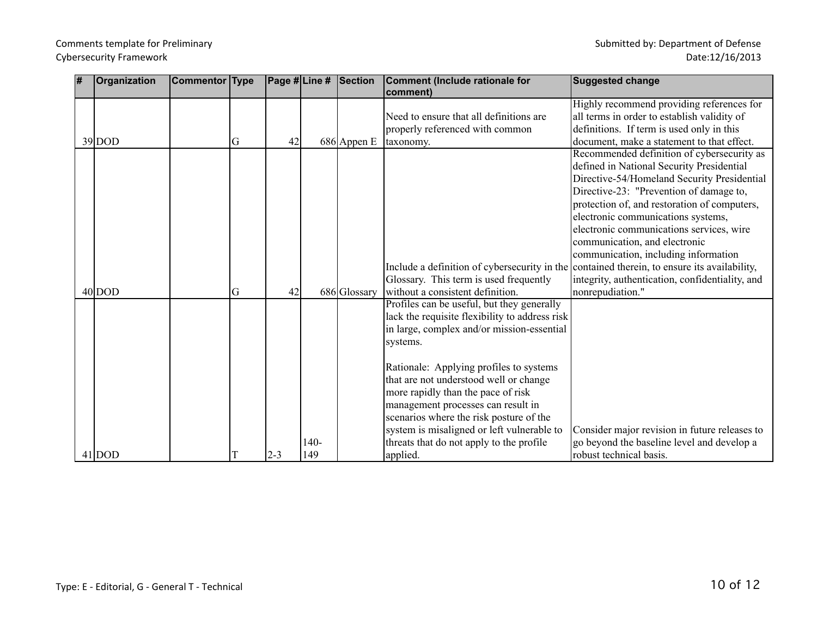| # | Organization | Commentor Type |   |         |      | Page # Line # Section | Comment (Include rationale for                 | <b>Suggested change</b>                                                                     |
|---|--------------|----------------|---|---------|------|-----------------------|------------------------------------------------|---------------------------------------------------------------------------------------------|
|   |              |                |   |         |      |                       | comment)                                       | Highly recommend providing references for                                                   |
|   |              |                |   |         |      |                       | Need to ensure that all definitions are        | all terms in order to establish validity of                                                 |
|   |              |                |   |         |      |                       | properly referenced with common                | definitions. If term is used only in this                                                   |
|   | $39 $ DOD    |                | G | 42      |      | $686$ Appen E         | taxonomy.                                      | document, make a statement to that effect.                                                  |
|   |              |                |   |         |      |                       |                                                | Recommended definition of cybersecurity as<br>defined in National Security Presidential     |
|   |              |                |   |         |      |                       |                                                | Directive-54/Homeland Security Presidential                                                 |
|   |              |                |   |         |      |                       |                                                | Directive-23: "Prevention of damage to,                                                     |
|   |              |                |   |         |      |                       |                                                | protection of, and restoration of computers,<br>electronic communications systems,          |
|   |              |                |   |         |      |                       |                                                | electronic communications services, wire                                                    |
|   |              |                |   |         |      |                       |                                                | communication, and electronic                                                               |
|   |              |                |   |         |      |                       |                                                | communication, including information                                                        |
|   |              |                |   |         |      |                       |                                                | Include a definition of cybersecurity in the contained therein, to ensure its availability, |
|   |              |                |   |         |      |                       | Glossary. This term is used frequently         | integrity, authentication, confidentiality, and                                             |
|   | $40 $ DOD    |                | G | 42      |      | 686 Glossary          | without a consistent definition.               | nonrepudiation."                                                                            |
|   |              |                |   |         |      |                       | Profiles can be useful, but they generally     |                                                                                             |
|   |              |                |   |         |      |                       | lack the requisite flexibility to address risk |                                                                                             |
|   |              |                |   |         |      |                       | in large, complex and/or mission-essential     |                                                                                             |
|   |              |                |   |         |      |                       | systems.                                       |                                                                                             |
|   |              |                |   |         |      |                       | Rationale: Applying profiles to systems        |                                                                                             |
|   |              |                |   |         |      |                       | that are not understood well or change         |                                                                                             |
|   |              |                |   |         |      |                       | more rapidly than the pace of risk             |                                                                                             |
|   |              |                |   |         |      |                       | management processes can result in             |                                                                                             |
|   |              |                |   |         |      |                       | scenarios where the risk posture of the        |                                                                                             |
|   |              |                |   |         |      |                       | system is misaligned or left vulnerable to     | Consider major revision in future releases to                                               |
|   |              |                |   |         | 140- |                       | threats that do not apply to the profile       | go beyond the baseline level and develop a                                                  |
|   | $41 $ DOD    |                |   | $2 - 3$ | 149  |                       | applied.                                       | robust technical basis.                                                                     |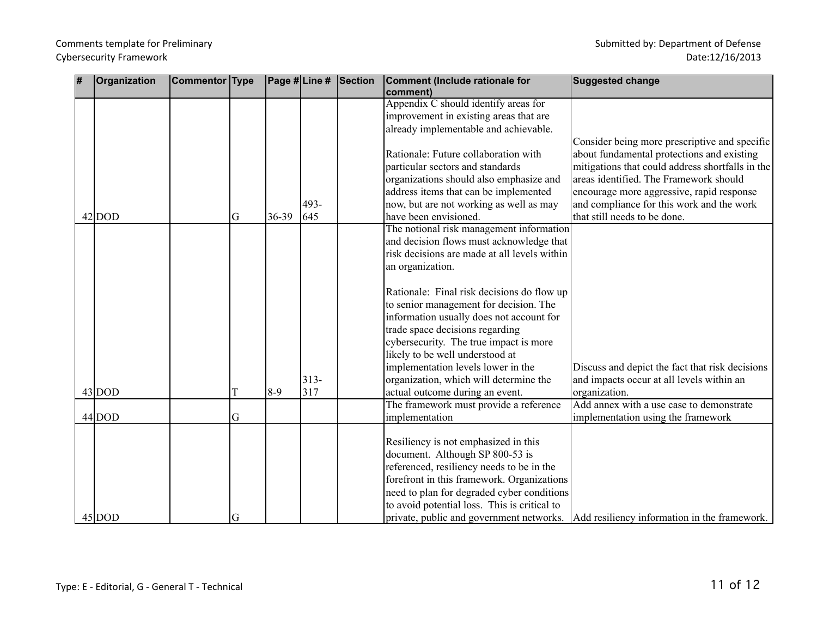#### Comments template for Preliminary and the state of the state of Defense Submitted by: Department of Defense Cybersecurity Framework

| 1# | Organization | <b>Commentor Type</b> |   |         |        | Page #Line # Section | Comment (Include rationale for                   | <b>Suggested change</b>                                                               |
|----|--------------|-----------------------|---|---------|--------|----------------------|--------------------------------------------------|---------------------------------------------------------------------------------------|
|    |              |                       |   |         |        |                      | comment)<br>Appendix C should identify areas for |                                                                                       |
|    |              |                       |   |         |        |                      | improvement in existing areas that are           |                                                                                       |
|    |              |                       |   |         |        |                      | already implementable and achievable.            |                                                                                       |
|    |              |                       |   |         |        |                      |                                                  | Consider being more prescriptive and specific                                         |
|    |              |                       |   |         |        |                      | Rationale: Future collaboration with             | about fundamental protections and existing                                            |
|    |              |                       |   |         |        |                      | particular sectors and standards                 | mitigations that could address shortfalls in the                                      |
|    |              |                       |   |         |        |                      | organizations should also emphasize and          | areas identified. The Framework should                                                |
|    |              |                       |   |         |        |                      | address items that can be implemented            | encourage more aggressive, rapid response                                             |
|    |              |                       |   |         | 493-   |                      | now, but are not working as well as may          | and compliance for this work and the work                                             |
|    | $42 $ DOD    |                       | G | 36-39   | 645    |                      | have been envisioned.                            | that still needs to be done.                                                          |
|    |              |                       |   |         |        |                      | The notional risk management information         |                                                                                       |
|    |              |                       |   |         |        |                      | and decision flows must acknowledge that         |                                                                                       |
|    |              |                       |   |         |        |                      | risk decisions are made at all levels within     |                                                                                       |
|    |              |                       |   |         |        |                      | an organization.                                 |                                                                                       |
|    |              |                       |   |         |        |                      |                                                  |                                                                                       |
|    |              |                       |   |         |        |                      | Rationale: Final risk decisions do flow up       |                                                                                       |
|    |              |                       |   |         |        |                      | to senior management for decision. The           |                                                                                       |
|    |              |                       |   |         |        |                      | information usually does not account for         |                                                                                       |
|    |              |                       |   |         |        |                      | trade space decisions regarding                  |                                                                                       |
|    |              |                       |   |         |        |                      | cybersecurity. The true impact is more           |                                                                                       |
|    |              |                       |   |         |        |                      | likely to be well understood at                  |                                                                                       |
|    |              |                       |   |         |        |                      | implementation levels lower in the               | Discuss and depict the fact that risk decisions                                       |
|    |              |                       |   |         | $313-$ |                      | organization, which will determine the           | and impacts occur at all levels within an                                             |
|    | $43 $ DOD    |                       |   | $8 - 9$ | 317    |                      | actual outcome during an event.                  | organization.                                                                         |
|    |              |                       |   |         |        |                      | The framework must provide a reference           | Add annex with a use case to demonstrate                                              |
|    | $44 $ DOD    |                       | G |         |        |                      | implementation                                   | implementation using the framework                                                    |
|    |              |                       |   |         |        |                      |                                                  |                                                                                       |
|    |              |                       |   |         |        |                      | Resiliency is not emphasized in this             |                                                                                       |
|    |              |                       |   |         |        |                      | document. Although SP 800-53 is                  |                                                                                       |
|    |              |                       |   |         |        |                      | referenced, resiliency needs to be in the        |                                                                                       |
|    |              |                       |   |         |        |                      | forefront in this framework. Organizations       |                                                                                       |
|    |              |                       |   |         |        |                      | need to plan for degraded cyber conditions       |                                                                                       |
|    |              |                       |   |         |        |                      | to avoid potential loss. This is critical to     |                                                                                       |
|    | $45 $ DOD    |                       | G |         |        |                      |                                                  | private, public and government networks. Add resiliency information in the framework. |